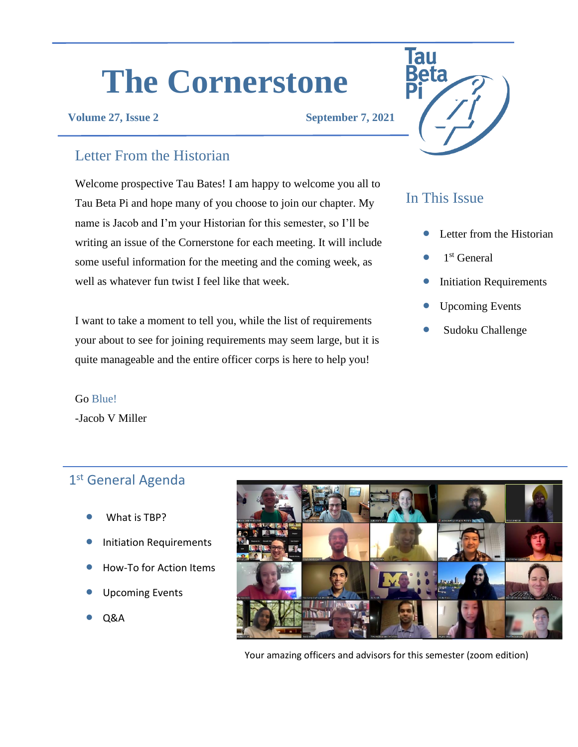# **The Cornerstone**

#### **Volume 27, Issue 2 September 7, 2021**

# Letter From the Historian

Welcome prospective Tau Bates! I am happy to welcome you all to Tau Beta Pi and hope many of you choose to join our chapter. My name is Jacob and I'm your Historian for this semester, so I'll be writing an issue of the Cornerstone for each meeting. It will include some useful information for the meeting and the coming week, as well as whatever fun twist I feel like that week.

I want to take a moment to tell you, while the list of requirements your about to see for joining requirements may seem large, but it is quite manageable and the entire officer corps is here to help you!

#### Go Blue!

-Jacob V Miller

# 1st General Agenda

- What is TBP?
- Initiation Requirements
- How-To for Action Items
- Upcoming Events
- Q&A



Your amazing officers and advisors for this semester (zoom edition)



## In This Issue

- Letter from the Historian
- $\bullet$  1<sup>st</sup> General
- **Initiation Requirements**
- Upcoming Events
- Sudoku Challenge